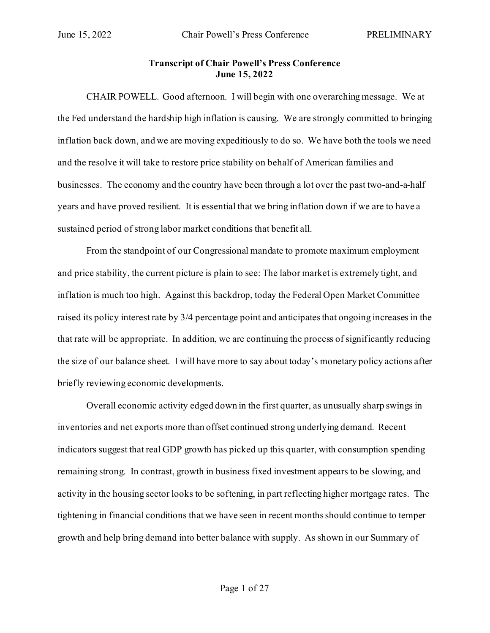# **Transcript of Chair Powell's Press Conference June 15, 2022**

CHAIR POWELL. Good afternoon. I will begin with one overarching message. We at the Fed understand the hardship high inflation is causing. We are strongly committed to bringing inflation back down, and we are moving expeditiously to do so. We have both the tools we need and the resolve it will take to restore price stability on behalf of American families and businesses. The economy and the country have been through a lot over the past two-and-a-half years and have proved resilient. It is essential that we bring inflation down if we are to have a sustained period of strong labor market conditions that benefit all.

From the standpoint of our Congressional mandate to promote maximum employment and price stability, the current picture is plain to see: The labor market is extremely tight, and inflation is much too high. Against this backdrop, today the Federal Open Market Committee raised its policy interest rate by 3/4 percentage point and anticipates that ongoing increases in the that rate will be appropriate. In addition, we are continuing the process of significantly reducing the size of our balance sheet. I will have more to say about today's monetary policy actions after briefly reviewing economic developments.

Overall economic activity edged down in the first quarter, as unusually sharp swings in inventories and net exports more than offset continued strong underlying demand. Recent indicators suggest that real GDP growth has picked up this quarter, with consumption spending remaining strong. In contrast, growth in business fixed investment appears to be slowing, and activity in the housing sector looks to be softening, in part reflecting higher mortgage rates. The tightening in financial conditions that we have seen in recent months should continue to temper growth and help bring demand into better balance with supply. As shown in our Summary of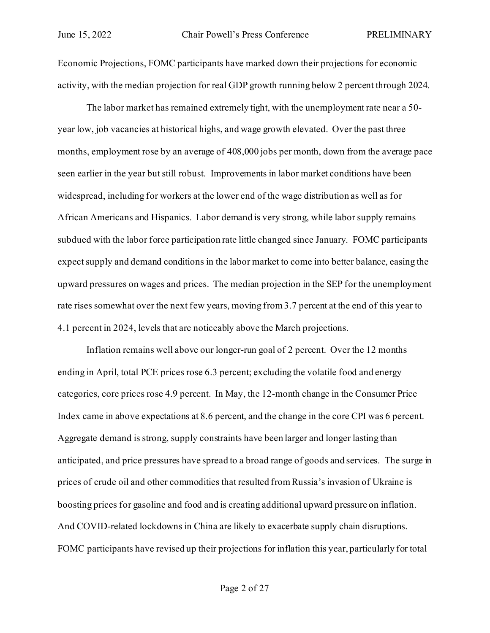Economic Projections, FOMC participants have marked down their projections for economic activity, with the median projection for real GDP growth running below 2 percent through 2024.

The labor market has remained extremely tight, with the unemployment rate near a 50 year low, job vacancies at historical highs, and wage growth elevated. Over the past three months, employment rose by an average of 408,000 jobs per month, down from the average pace seen earlier in the year but still robust. Improvements in labor market conditions have been widespread, including for workers at the lower end of the wage distribution as well as for African Americans and Hispanics. Labor demand is very strong, while labor supply remains subdued with the labor force participation rate little changed since January. FOMC participants expect supply and demand conditions in the labor market to come into better balance, easing the upward pressures on wages and prices. The median projection in the SEP for the unemployment rate rises somewhat over the next few years, moving from 3.7 percent at the end of this year to 4.1 percent in 2024, levels that are noticeably above the March projections.

Inflation remains well above our longer-run goal of 2 percent. Over the 12 months ending in April, total PCE prices rose 6.3 percent; excluding the volatile food and energy categories, core prices rose 4.9 percent. In May, the 12-month change in the Consumer Price Index came in above expectations at 8.6 percent, and the change in the core CPI was 6 percent. Aggregate demand is strong, supply constraints have been larger and longer lasting than anticipated, and price pressures have spread to a broad range of goods and services. The surge in prices of crude oil and other commodities that resulted from Russia's invasion of Ukraine is boosting prices for gasoline and food and is creating additional upward pressure on inflation. And COVID-related lockdowns in China are likely to exacerbate supply chain disruptions. FOMC participants have revised up their projections for inflation this year, particularly for total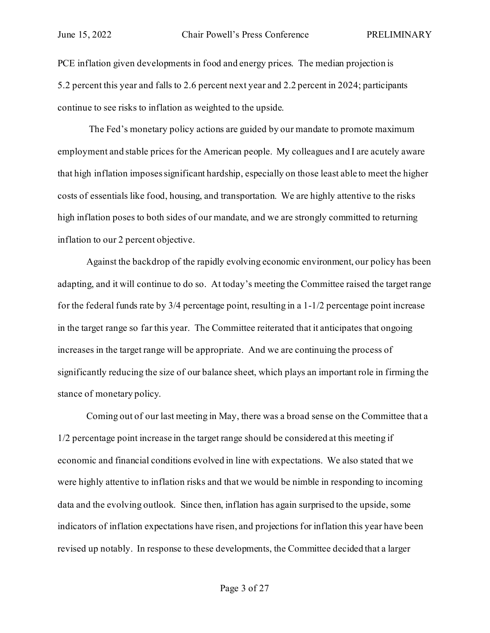PCE inflation given developments in food and energy prices. The median projection is 5.2 percent this year and falls to 2.6 percent next year and 2.2 percent in 2024; participants continue to see risks to inflation as weighted to the upside.

The Fed's monetary policy actions are guided by our mandate to promote maximum employment and stable prices for the American people. My colleagues and I are acutely aware that high inflation imposes significant hardship, especially on those least able to meet the higher costs of essentials like food, housing, and transportation. We are highly attentive to the risks high inflation poses to both sides of our mandate, and we are strongly committed to returning inflation to our 2 percent objective.

Against the backdrop of the rapidly evolving economic environment, our policy has been adapting, and it will continue to do so. At today's meeting the Committee raised the target range for the federal funds rate by 3/4 percentage point, resulting in a 1-1/2 percentage point increase in the target range so far this year. The Committee reiterated that it anticipates that ongoing increases in the target range will be appropriate. And we are continuing the process of significantly reducing the size of our balance sheet, which plays an important role in firming the stance of monetary policy.

Coming out of our last meeting in May, there was a broad sense on the Committee that a 1/2 percentage point increase in the target range should be considered at this meeting if economic and financial conditions evolved in line with expectations. We also stated that we were highly attentive to inflation risks and that we would be nimble in responding to incoming data and the evolving outlook. Since then, inflation has again surprised to the upside, some indicators of inflation expectations have risen, and projections for inflation this year have been revised up notably. In response to these developments, the Committee decided that a larger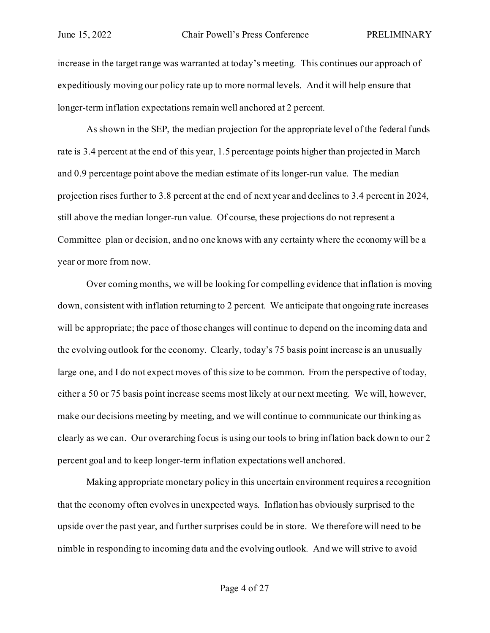increase in the target range was warranted at today's meeting. This continues our approach of expeditiously moving our policy rate up to more normal levels. And it will help ensure that longer-term inflation expectations remain well anchored at 2 percent.

As shown in the SEP, the median projection for the appropriate level of the federal funds rate is 3.4 percent at the end of this year, 1.5 percentage points higher than projected in March and 0.9 percentage point above the median estimate of its longer-run value. The median projection rises further to 3.8 percent at the end of next year and declines to 3.4 percent in 2024, still above the median longer-run value. Of course, these projections do not represent a Committee plan or decision, and no one knows with any certainty where the economy will be a year or more from now.

Over coming months, we will be looking for compelling evidence that inflation is moving down, consistent with inflation returning to 2 percent. We anticipate that ongoing rate increases will be appropriate; the pace of those changes will continue to depend on the incoming data and the evolving outlook for the economy. Clearly, today's 75 basis point increase is an unusually large one, and I do not expect moves of this size to be common. From the perspective of today, either a 50 or 75 basis point increase seems most likely at our next meeting. We will, however, make our decisions meeting by meeting, and we will continue to communicate our thinking as clearly as we can. Our overarching focus is using our tools to bring inflation back down to our 2 percent goal and to keep longer-term inflation expectations well anchored.

Making appropriate monetary policy in this uncertain environment requires a recognition that the economy often evolves in unexpected ways. Inflation has obviously surprised to the upside over the past year, and further surprises could be in store. We therefore will need to be nimble in responding to incoming data and the evolving outlook. And we will strive to avoid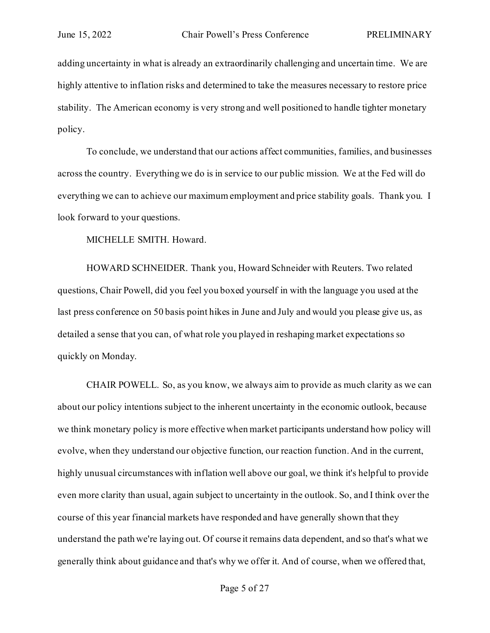adding uncertainty in what is already an extraordinarily challenging and uncertain time. We are highly attentive to inflation risks and determined to take the measures necessary to restore price stability. The American economy is very strong and well positioned to handle tighter monetary policy.

To conclude, we understand that our actions affect communities, families, and businesses across the country. Everything we do is in service to our public mission. We at the Fed will do everything we can to achieve our maximum employment and price stability goals. Thank you. I look forward to your questions.

MICHELLE SMITH. Howard.

HOWARD SCHNEIDER. Thank you, Howard Schneider with Reuters. Two related questions, Chair Powell, did you feel you boxed yourself in with the language you used at the last press conference on 50 basis point hikes in June and July and would you please give us, as detailed a sense that you can, of what role you played in reshaping market expectations so quickly on Monday.

CHAIR POWELL. So, as you know, we always aim to provide as much clarity as we can about our policy intentions subject to the inherent uncertainty in the economic outlook, because we think monetary policy is more effective when market participants understand how policy will evolve, when they understand our objective function, our reaction function. And in the current, highly unusual circumstances with inflation well above our goal, we think it's helpful to provide even more clarity than usual, again subject to uncertainty in the outlook. So, and I think over the course of this year financial markets have responded and have generally shown that they understand the path we're laying out. Of course it remains data dependent, and so that's what we generally think about guidance and that's why we offer it. And of course, when we offered that,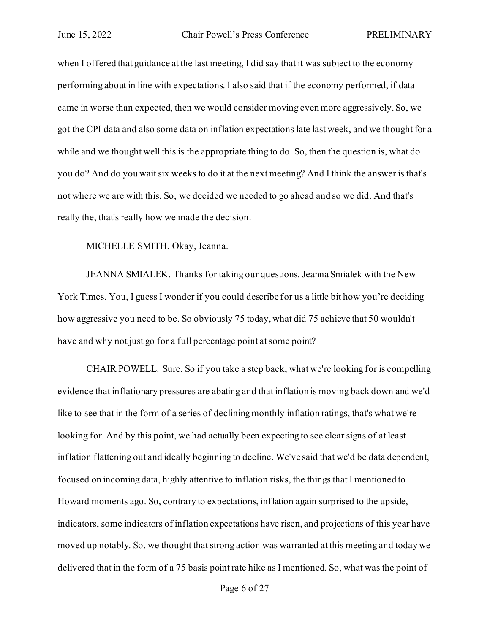when I offered that guidance at the last meeting, I did say that it was subject to the economy performing about in line with expectations. I also said that if the economy performed, if data came in worse than expected, then we would consider moving even more aggressively. So, we got the CPI data and also some data on inflation expectations late last week, and we thought for a while and we thought well this is the appropriate thing to do. So, then the question is, what do you do? And do you wait six weeks to do it at the next meeting? And I think the answer is that's not where we are with this. So, we decided we needed to go ahead and so we did. And that's really the, that's really how we made the decision.

MICHELLE SMITH. Okay, Jeanna.

JEANNA SMIALEK. Thanks for taking our questions. Jeanna Smialek with the New York Times. You, I guess I wonder if you could describe for us a little bit how you're deciding how aggressive you need to be. So obviously 75 today, what did 75 achieve that 50 wouldn't have and why not just go for a full percentage point at some point?

CHAIR POWELL. Sure. So if you take a step back, what we're looking for is compelling evidence that inflationary pressures are abating and that inflation is moving back down and we'd like to see that in the form of a series of declining monthly inflation ratings, that's what we're looking for. And by this point, we had actually been expecting to see clear signs of at least inflation flattening out and ideally beginning to decline. We've said that we'd be data dependent, focused on incoming data, highly attentive to inflation risks, the things that I mentioned to Howard moments ago. So, contrary to expectations, inflation again surprised to the upside, indicators, some indicators of inflation expectations have risen, and projections of this year have moved up notably. So, we thought that strong action was warranted at this meeting and today we delivered that in the form of a 75 basis point rate hike as I mentioned. So, what was the point of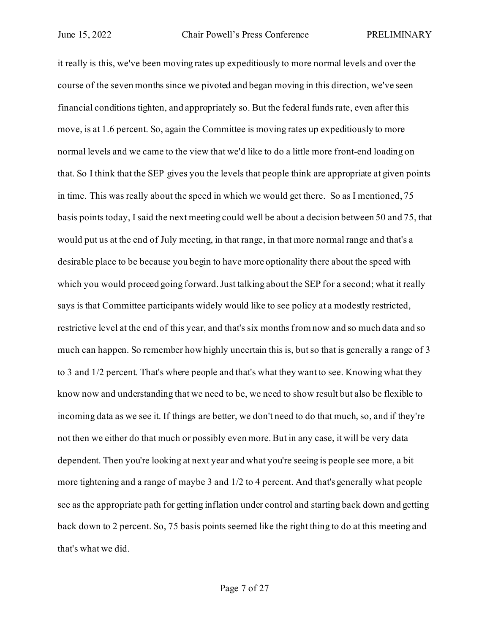it really is this, we've been moving rates up expeditiously to more normal levels and over the course of the seven months since we pivoted and began moving in this direction, we've seen financial conditions tighten, and appropriately so. But the federal funds rate, even after this move, is at 1.6 percent. So, again the Committee is moving rates up expeditiously to more normal levels and we came to the view that we'd like to do a little more front-end loading on that. So I think that the SEP gives you the levels that people think are appropriate at given points in time. This was really about the speed in which we would get there. So as I mentioned, 75 basis points today, I said the next meeting could well be about a decision between 50 and 75, that would put us at the end of July meeting, in that range, in that more normal range and that's a desirable place to be because you begin to have more optionality there about the speed with which you would proceed going forward. Just talking about the SEP for a second; what it really says is that Committee participants widely would like to see policy at a modestly restricted, restrictive level at the end of this year, and that's six months from now and so much data and so much can happen. So remember how highly uncertain this is, but so that is generally a range of 3 to 3 and 1/2 percent. That's where people and that's what they want to see. Knowing what they know now and understanding that we need to be, we need to show result but also be flexible to incoming data as we see it. If things are better, we don't need to do that much, so, and if they're not then we either do that much or possibly even more. But in any case, it will be very data dependent. Then you're looking at next year and what you're seeing is people see more, a bit more tightening and a range of maybe 3 and 1/2 to 4 percent. And that's generally what people see as the appropriate path for getting inflation under control and starting back down and getting back down to 2 percent. So, 75 basis points seemed like the right thing to do at this meeting and that's what we did.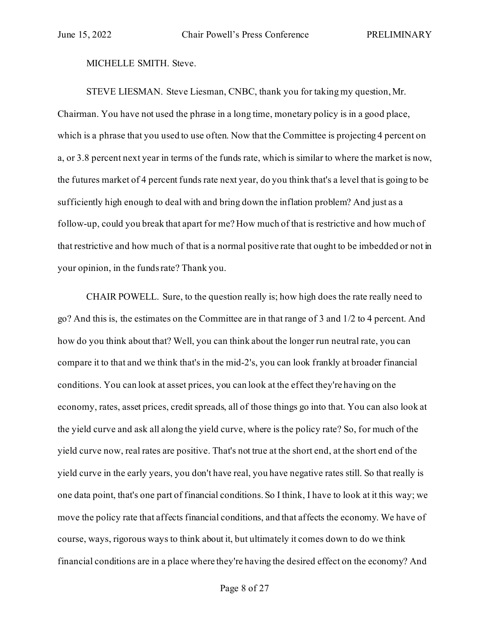MICHELLE SMITH. Steve.

STEVE LIESMAN. Steve Liesman, CNBC, thank you for taking my question, Mr. Chairman. You have not used the phrase in a long time, monetary policy is in a good place, which is a phrase that you used to use often. Now that the Committee is projecting 4 percent on a, or 3.8 percent next year in terms of the funds rate, which is similar to where the market is now, the futures market of 4 percent funds rate next year, do you think that's a level that is going to be sufficiently high enough to deal with and bring down the inflation problem? And just as a follow-up, could you break that apart for me? How much of that is restrictive and how much of that restrictive and how much of that is a normal positive rate that ought to be imbedded or not in your opinion, in the funds rate? Thank you.

CHAIR POWELL. Sure, to the question really is; how high does the rate really need to go? And this is, the estimates on the Committee are in that range of 3 and 1/2 to 4 percent. And how do you think about that? Well, you can think about the longer run neutral rate, you can compare it to that and we think that's in the mid-2's, you can look frankly at broader financial conditions. You can look at asset prices, you can look at the effect they're having on the economy, rates, asset prices, credit spreads, all of those things go into that. You can also look at the yield curve and ask all along the yield curve, where is the policy rate? So, for much of the yield curve now, real rates are positive. That's not true at the short end, at the short end of the yield curve in the early years, you don't have real, you have negative rates still. So that really is one data point, that's one part of financial conditions. So I think, I have to look at it this way; we move the policy rate that affects financial conditions, and that affects the economy. We have of course, ways, rigorous ways to think about it, but ultimately it comes down to do we think financial conditions are in a place where they're having the desired effect on the economy? And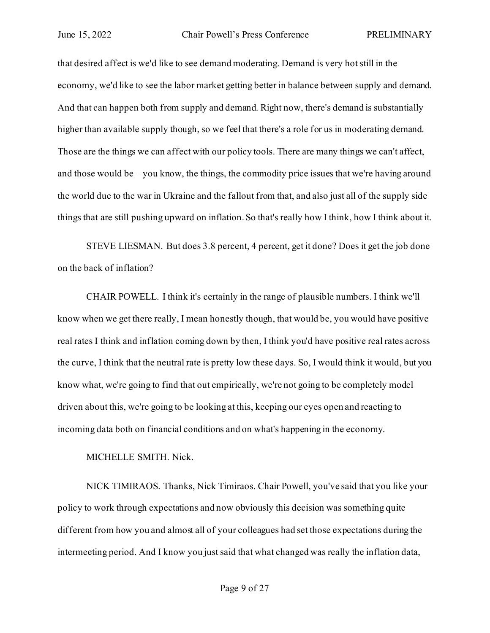that desired affect is we'd like to see demand moderating. Demand is very hot still in the economy, we'd like to see the labor market getting better in balance between supply and demand. And that can happen both from supply and demand. Right now, there's demand is substantially higher than available supply though, so we feel that there's a role for us in moderating demand. Those are the things we can affect with our policy tools. There are many things we can't affect, and those would be – you know, the things, the commodity price issues that we're having around the world due to the war in Ukraine and the fallout from that, and also just all of the supply side things that are still pushing upward on inflation. So that's really how I think, how I think about it.

STEVE LIESMAN. But does 3.8 percent, 4 percent, get it done? Does it get the job done on the back of inflation?

CHAIR POWELL. I think it's certainly in the range of plausible numbers. I think we'll know when we get there really, I mean honestly though, that would be, you would have positive real rates I think and inflation coming down by then, I think you'd have positive real rates across the curve, I think that the neutral rate is pretty low these days. So, I would think it would, but you know what, we're going to find that out empirically, we're not going to be completely model driven about this, we're going to be looking at this, keeping our eyes open and reacting to incoming data both on financial conditions and on what's happening in the economy.

## MICHELLE SMITH. Nick.

NICK TIMIRAOS. Thanks, Nick Timiraos. Chair Powell, you've said that you like your policy to work through expectations and now obviously this decision was something quite different from how you and almost all of your colleagues had set those expectations during the intermeeting period. And I know you just said that what changed was really the inflation data,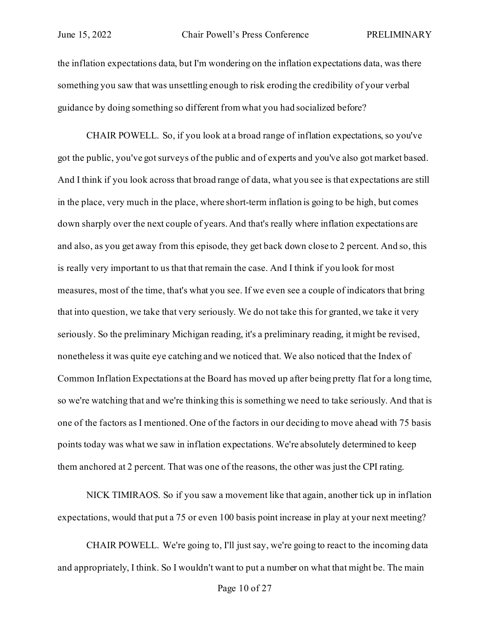the inflation expectations data, but I'm wondering on the inflation expectations data, was there something you saw that was unsettling enough to risk eroding the credibility of your verbal guidance by doing something so different from what you had socialized before?

CHAIR POWELL. So, if you look at a broad range of inflation expectations, so you've got the public, you've got surveys of the public and of experts and you've also got market based. And I think if you look across that broad range of data, what you see is that expectations are still in the place, very much in the place, where short-term inflation is going to be high, but comes down sharply over the next couple of years. And that's really where inflation expectations are and also, as you get away from this episode, they get back down close to 2 percent. And so, this is really very important to us that that remain the case. And I think if you look for most measures, most of the time, that's what you see. If we even see a couple of indicators that bring that into question, we take that very seriously. We do not take this for granted, we take it very seriously. So the preliminary Michigan reading, it's a preliminary reading, it might be revised, nonetheless it was quite eye catching and we noticed that. We also noticed that the Index of Common Inflation Expectations at the Board has moved up after being pretty flat for a long time, so we're watching that and we're thinking this is something we need to take seriously. And that is one of the factors as I mentioned. One of the factors in our deciding to move ahead with 75 basis points today was what we saw in inflation expectations. We're absolutely determined to keep them anchored at 2 percent. That was one of the reasons, the other was just the CPI rating.

NICK TIMIRAOS. So if you saw a movement like that again, another tick up in inflation expectations, would that put a 75 or even 100 basis point increase in play at your next meeting?

CHAIR POWELL. We're going to, I'll just say, we're going to react to the incoming data and appropriately, I think. So I wouldn't want to put a number on what that might be. The main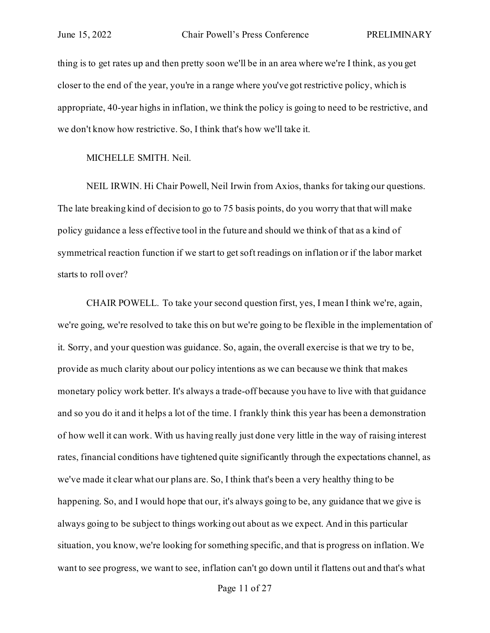thing is to get rates up and then pretty soon we'll be in an area where we're I think, as you get closer to the end of the year, you're in a range where you've got restrictive policy, which is appropriate, 40-year highs in inflation, we think the policy is going to need to be restrictive, and we don't know how restrictive. So, I think that's how we'll take it.

MICHELLE SMITH. Neil.

NEIL IRWIN. Hi Chair Powell, Neil Irwin from Axios, thanks for taking our questions. The late breaking kind of decision to go to 75 basis points, do you worry that that will make policy guidance a less effective tool in the future and should we think of that as a kind of symmetrical reaction function if we start to get soft readings on inflation or if the labor market starts to roll over?

CHAIR POWELL. To take your second question first, yes, I mean I think we're, again, we're going, we're resolved to take this on but we're going to be flexible in the implementation of it. Sorry, and your question was guidance. So, again, the overall exercise is that we try to be, provide as much clarity about our policy intentions as we can because we think that makes monetary policy work better. It's always a trade-off because you have to live with that guidance and so you do it and it helps a lot of the time. I frankly think this year has been a demonstration of how well it can work. With us having really just done very little in the way of raising interest rates, financial conditions have tightened quite significantly through the expectations channel, as we've made it clear what our plans are. So, I think that's been a very healthy thing to be happening. So, and I would hope that our, it's always going to be, any guidance that we give is always going to be subject to things working out about as we expect. And in this particular situation, you know, we're looking for something specific, and that is progress on inflation. We want to see progress, we want to see, inflation can't go down until it flattens out and that's what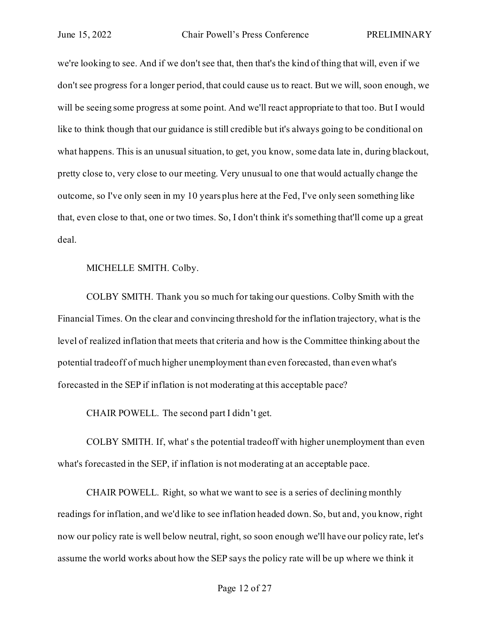we're looking to see. And if we don't see that, then that's the kind of thing that will, even if we don't see progress for a longer period, that could cause us to react. But we will, soon enough, we will be seeing some progress at some point. And we'll react appropriate to that too. But I would like to think though that our guidance is still credible but it's always going to be conditional on what happens. This is an unusual situation, to get, you know, some data late in, during blackout, pretty close to, very close to our meeting. Very unusual to one that would actually change the outcome, so I've only seen in my 10 years plus here at the Fed, I've only seen something like that, even close to that, one or two times. So, I don't think it's something that'll come up a great deal.

MICHELLE SMITH. Colby.

COLBY SMITH. Thank you so much for taking our questions. Colby Smith with the Financial Times. On the clear and convincing threshold for the inflation trajectory, what is the level of realized inflation that meets that criteria and how is the Committee thinking about the potential tradeoff of much higher unemployment than even forecasted, than even what's forecasted in the SEP if inflation is not moderating at this acceptable pace?

CHAIR POWELL. The second part I didn't get.

COLBY SMITH. If, what' s the potential tradeoff with higher unemployment than even what's forecasted in the SEP, if inflation is not moderating at an acceptable pace.

CHAIR POWELL. Right, so what we want to see is a series of declining monthly readings for inflation, and we'd like to see inflation headed down. So, but and, you know, right now our policy rate is well below neutral, right, so soon enough we'll have our policy rate, let's assume the world works about how the SEP says the policy rate will be up where we think it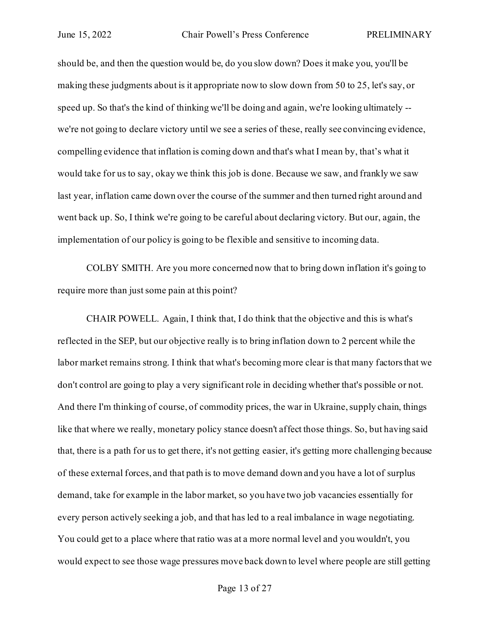should be, and then the question would be, do you slow down? Does it make you, you'll be making these judgments about is it appropriate now to slow down from 50 to 25, let's say, or speed up. So that's the kind of thinking we'll be doing and again, we're looking ultimately - we're not going to declare victory until we see a series of these, really see convincing evidence, compelling evidence that inflation is coming down and that's what I mean by, that's what it would take for us to say, okay we think this job is done. Because we saw, and frankly we saw last year, inflation came down over the course of the summer and then turned right around and went back up. So, I think we're going to be careful about declaring victory. But our, again, the implementation of our policy is going to be flexible and sensitive to incoming data.

COLBY SMITH. Are you more concerned now that to bring down inflation it's going to require more than just some pain at this point?

CHAIR POWELL. Again, I think that, I do think that the objective and this is what's reflected in the SEP, but our objective really is to bring inflation down to 2 percent while the labor market remains strong. I think that what's becoming more clear is that many factors that we don't control are going to play a very significant role in deciding whether that's possible or not. And there I'm thinking of course, of commodity prices, the war in Ukraine, supply chain, things like that where we really, monetary policy stance doesn't affect those things. So, but having said that, there is a path for us to get there, it's not getting easier, it's getting more challenging because of these external forces, and that path is to move demand down and you have a lot of surplus demand, take for example in the labor market, so you have two job vacancies essentially for every person actively seeking a job, and that has led to a real imbalance in wage negotiating. You could get to a place where that ratio was at a more normal level and you wouldn't, you would expect to see those wage pressures move back down to level where people are still getting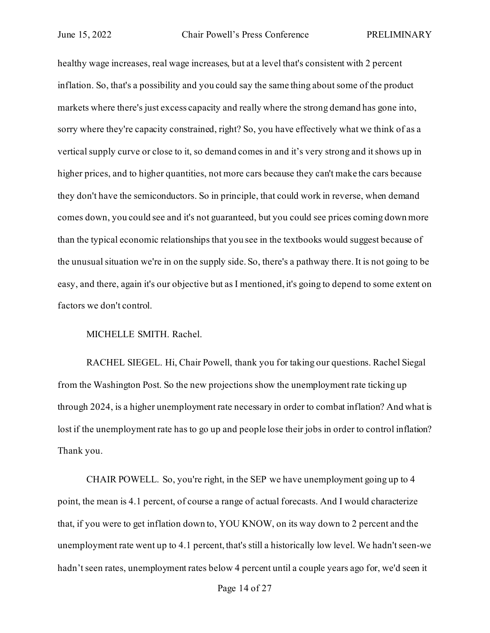healthy wage increases, real wage increases, but at a level that's consistent with 2 percent inflation. So, that's a possibility and you could say the same thing about some of the product markets where there's just excess capacity and really where the strong demand has gone into, sorry where they're capacity constrained, right? So, you have effectively what we think of as a vertical supply curve or close to it, so demand comes in and it's very strong and it shows up in higher prices, and to higher quantities, not more cars because they can't make the cars because they don't have the semiconductors. So in principle, that could work in reverse, when demand comes down, you could see and it's not guaranteed, but you could see prices coming down more than the typical economic relationships that you see in the textbooks would suggest because of the unusual situation we're in on the supply side. So, there's a pathway there. It is not going to be easy, and there, again it's our objective but as I mentioned, it's going to depend to some extent on factors we don't control.

#### MICHELLE SMITH. Rachel.

RACHEL SIEGEL. Hi, Chair Powell, thank you for taking our questions. Rachel Siegal from the Washington Post. So the new projections show the unemployment rate ticking up through 2024, is a higher unemployment rate necessary in order to combat inflation? And what is lost if the unemployment rate has to go up and people lose their jobs in order to control inflation? Thank you.

CHAIR POWELL. So, you're right, in the SEP we have unemployment going up to 4 point, the mean is 4.1 percent, of course a range of actual forecasts. And I would characterize that, if you were to get inflation down to, YOU KNOW, on its way down to 2 percent and the unemployment rate went up to 4.1 percent, that's still a historically low level. We hadn't seen-we hadn't seen rates, unemployment rates below 4 percent until a couple years ago for, we'd seen it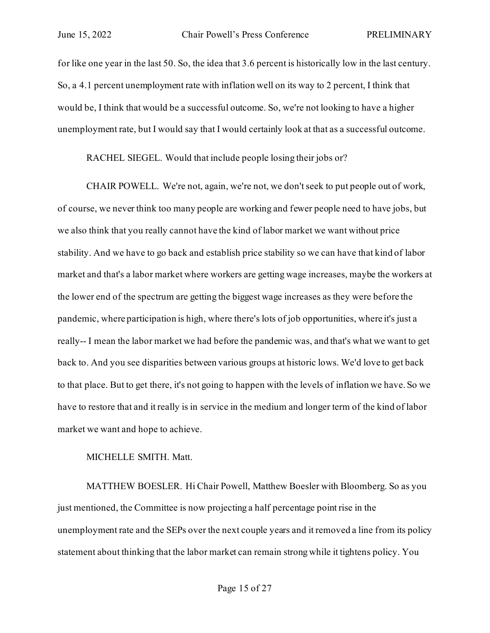for like one year in the last 50. So, the idea that 3.6 percent is historically low in the last century. So, a 4.1 percent unemployment rate with inflation well on its way to 2 percent, I think that would be, I think that would be a successful outcome. So, we're not looking to have a higher unemployment rate, but I would say that I would certainly look at that as a successful outcome.

RACHEL SIEGEL. Would that include people losing their jobs or?

CHAIR POWELL. We're not, again, we're not, we don't seek to put people out of work, of course, we never think too many people are working and fewer people need to have jobs, but we also think that you really cannot have the kind of labor market we want without price stability. And we have to go back and establish price stability so we can have that kind of labor market and that's a labor market where workers are getting wage increases, maybe the workers at the lower end of the spectrum are getting the biggest wage increases as they were before the pandemic, where participation is high, where there's lots of job opportunities, where it's just a really-- I mean the labor market we had before the pandemic was, and that's what we want to get back to. And you see disparities between various groups at historic lows. We'd love to get back to that place. But to get there, it's not going to happen with the levels of inflation we have. So we have to restore that and it really is in service in the medium and longer term of the kind of labor market we want and hope to achieve.

## MICHELLE SMITH. Matt.

MATTHEW BOESLER. Hi Chair Powell, Matthew Boesler with Bloomberg. So as you just mentioned, the Committee is now projecting a half percentage point rise in the unemployment rate and the SEPs over the next couple years and it removed a line from its policy statement about thinking that the labor market can remain strong while it tightens policy. You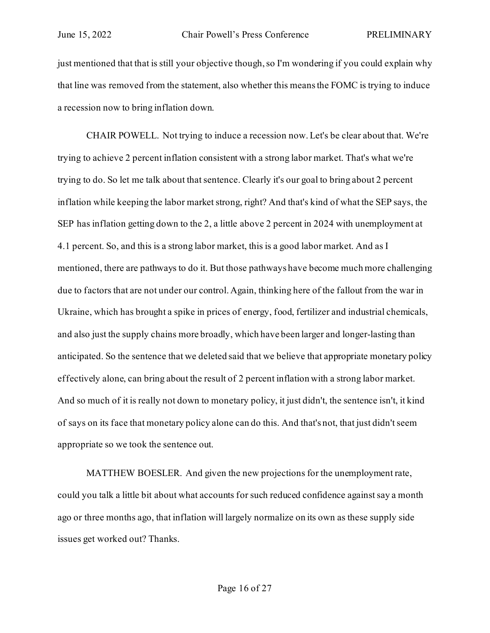just mentioned that that is still your objective though, so I'm wondering if you could explain why that line was removed from the statement, also whether this means the FOMC is trying to induce a recession now to bring inflation down.

CHAIR POWELL. Not trying to induce a recession now. Let's be clear about that. We're trying to achieve 2 percent inflation consistent with a strong labor market. That's what we're trying to do. So let me talk about that sentence. Clearly it's our goal to bring about 2 percent inflation while keeping the labor market strong, right? And that's kind of what the SEP says, the SEP has inflation getting down to the 2, a little above 2 percent in 2024 with unemployment at 4.1 percent. So, and this is a strong labor market, this is a good labor market. And as I mentioned, there are pathways to do it. But those pathways have become much more challenging due to factors that are not under our control. Again, thinking here of the fallout from the war in Ukraine, which has brought a spike in prices of energy, food, fertilizer and industrial chemicals, and also just the supply chains more broadly, which have been larger and longer-lasting than anticipated. So the sentence that we deleted said that we believe that appropriate monetary policy effectively alone, can bring about the result of 2 percent inflation with a strong labor market. And so much of it is really not down to monetary policy, it just didn't, the sentence isn't, it kind of says on its face that monetary policy alone can do this. And that's not, that just didn't seem appropriate so we took the sentence out.

MATTHEW BOESLER. And given the new projections for the unemployment rate, could you talk a little bit about what accounts for such reduced confidence against say a month ago or three months ago, that inflation will largely normalize on its own as these supply side issues get worked out? Thanks.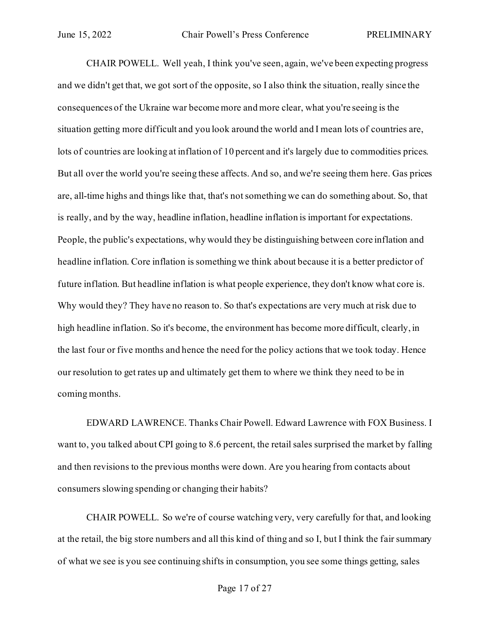CHAIR POWELL. Well yeah, I think you've seen, again, we've been expecting progress and we didn't get that, we got sort of the opposite, so I also think the situation, really since the consequences of the Ukraine war become more and more clear, what you're seeing is the situation getting more difficult and you look around the world and I mean lots of countries are, lots of countries are looking at inflation of 10 percent and it's largely due to commodities prices. But all over the world you're seeing these affects. And so, and we're seeing them here. Gas prices are, all-time highs and things like that, that's not something we can do something about. So, that is really, and by the way, headline inflation, headline inflation is important for expectations. People, the public's expectations, why would they be distinguishing between core inflation and headline inflation. Core inflation is something we think about because it is a better predictor of future inflation. But headline inflation is what people experience, they don't know what core is. Why would they? They have no reason to. So that's expectations are very much at risk due to high headline inflation. So it's become, the environment has become more difficult, clearly, in the last four or five months and hence the need for the policy actions that we took today. Hence our resolution to get rates up and ultimately get them to where we think they need to be in coming months.

EDWARD LAWRENCE. Thanks Chair Powell. Edward Lawrence with FOX Business. I want to, you talked about CPI going to 8.6 percent, the retail sales surprised the market by falling and then revisions to the previous months were down. Are you hearing from contacts about consumers slowing spending or changing their habits?

CHAIR POWELL. So we're of course watching very, very carefully for that, and looking at the retail, the big store numbers and all this kind of thing and so I, but I think the fair summary of what we see is you see continuing shifts in consumption, you see some things getting, sales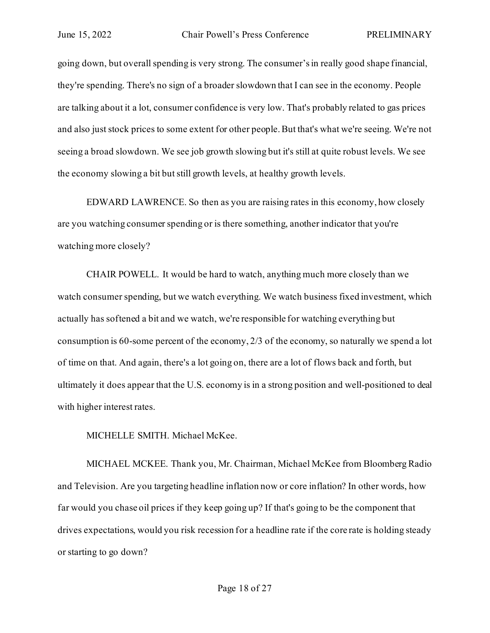going down, but overall spending is very strong. The consumer's in really good shape financial, they're spending. There's no sign of a broader slowdown that I can see in the economy. People are talking about it a lot, consumer confidence is very low. That's probably related to gas prices and also just stock prices to some extent for other people. But that's what we're seeing. We're not seeing a broad slowdown. We see job growth slowing but it's still at quite robust levels. We see the economy slowing a bit but still growth levels, at healthy growth levels.

EDWARD LAWRENCE. So then as you are raising rates in this economy, how closely are you watching consumer spending or is there something, another indicator that you're watching more closely?

CHAIR POWELL. It would be hard to watch, anything much more closely than we watch consumer spending, but we watch everything. We watch business fixed investment, which actually has softened a bit and we watch, we're responsible for watching everything but consumption is 60-some percent of the economy, 2/3 of the economy, so naturally we spend a lot of time on that. And again, there's a lot going on, there are a lot of flows back and forth, but ultimately it does appear that the U.S. economy is in a strong position and well-positioned to deal with higher interest rates.

MICHELLE SMITH. Michael McKee.

MICHAEL MCKEE. Thank you, Mr. Chairman, Michael McKee from Bloomberg Radio and Television. Are you targeting headline inflation now or core inflation? In other words, how far would you chase oil prices if they keep going up? If that's going to be the component that drives expectations, would you risk recession for a headline rate if the core rate is holding steady or starting to go down?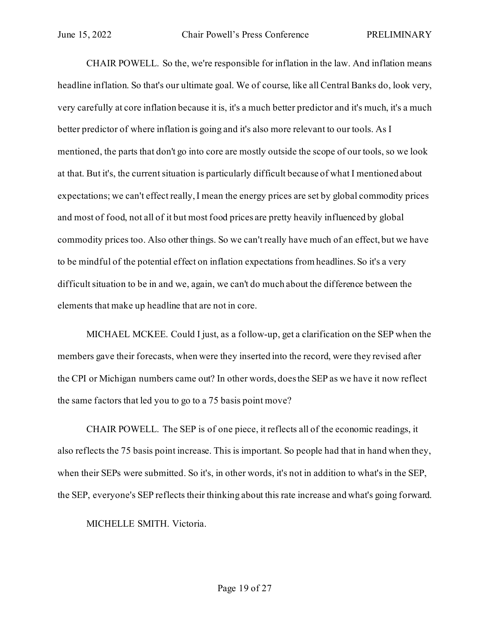CHAIR POWELL. So the, we're responsible for inflation in the law. And inflation means headline inflation. So that's our ultimate goal. We of course, like all Central Banks do, look very, very carefully at core inflation because it is, it's a much better predictor and it's much, it's a much better predictor of where inflation is going and it's also more relevant to our tools. As I mentioned, the parts that don't go into core are mostly outside the scope of our tools, so we look at that. But it's, the current situation is particularly difficult because of what I mentioned about expectations; we can't effect really, I mean the energy prices are set by global commodity prices and most of food, not all of it but most food prices are pretty heavily influenced by global commodity prices too. Also other things. So we can't really have much of an effect, but we have to be mindful of the potential effect on inflation expectations from headlines. So it's a very difficult situation to be in and we, again, we can't do much about the difference between the elements that make up headline that are not in core.

MICHAEL MCKEE. Could I just, as a follow-up, get a clarification on the SEP when the members gave their forecasts, when were they inserted into the record, were they revised after the CPI or Michigan numbers came out? In other words, does the SEP as we have it now reflect the same factors that led you to go to a 75 basis point move?

CHAIR POWELL. The SEP is of one piece, it reflects all of the economic readings, it also reflects the 75 basis point increase. This is important. So people had that in hand when they, when their SEPs were submitted. So it's, in other words, it's not in addition to what's in the SEP, the SEP, everyone's SEP reflects their thinking about this rate increase and what's going forward.

MICHELLE SMITH. Victoria.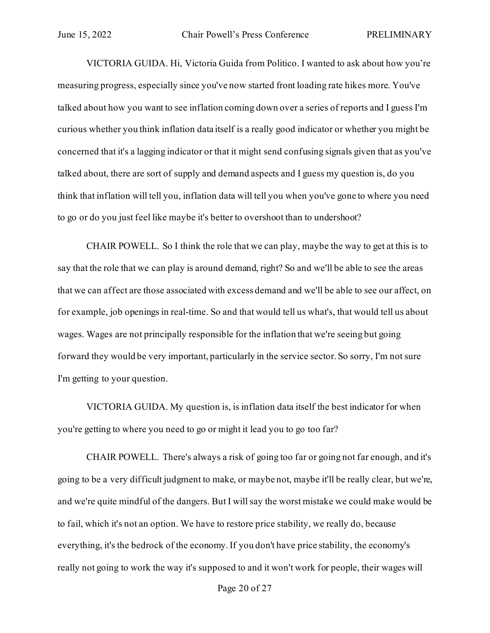VICTORIA GUIDA. Hi, Victoria Guida from Politico. I wanted to ask about how you're measuring progress, especially since you've now started front loading rate hikes more. You've talked about how you want to see inflation coming down over a series of reports and I guess I'm curious whether you think inflation data itself is a really good indicator or whether you might be concerned that it's a lagging indicator or that it might send confusing signals given that as you've talked about, there are sort of supply and demand aspects and I guess my question is, do you think that inflation will tell you, inflation data will tell you when you've gone to where you need to go or do you just feel like maybe it's better to overshoot than to undershoot?

CHAIR POWELL. So I think the role that we can play, maybe the way to get at this is to say that the role that we can play is around demand, right? So and we'll be able to see the areas that we can affect are those associated with excess demand and we'll be able to see our affect, on for example, job openings in real-time. So and that would tell us what's, that would tell us about wages. Wages are not principally responsible for the inflation that we're seeing but going forward they would be very important, particularly in the service sector. So sorry, I'm not sure I'm getting to your question.

VICTORIA GUIDA. My question is, is inflation data itself the best indicator for when you're getting to where you need to go or might it lead you to go too far?

CHAIR POWELL. There's always a risk of going too far or going not far enough, and it's going to be a very difficult judgment to make, or maybe not, maybe it'll be really clear, but we're, and we're quite mindful of the dangers. But I will say the worst mistake we could make would be to fail, which it's not an option. We have to restore price stability, we really do, because everything, it's the bedrock of the economy. If you don't have price stability, the economy's really not going to work the way it's supposed to and it won't work for people, their wages will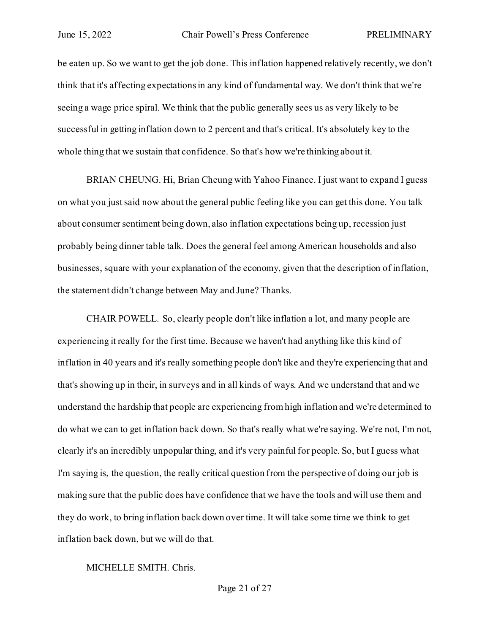be eaten up. So we want to get the job done. This inflation happened relatively recently, we don't think that it's affecting expectations in any kind of fundamental way. We don't think that we're seeing a wage price spiral. We think that the public generally sees us as very likely to be successful in getting inflation down to 2 percent and that's critical. It's absolutely key to the whole thing that we sustain that confidence. So that's how we're thinking about it.

BRIAN CHEUNG. Hi, Brian Cheung with Yahoo Finance. I just want to expand I guess on what you just said now about the general public feeling like you can get this done. You talk about consumer sentiment being down, also inflation expectations being up, recession just probably being dinner table talk. Does the general feel among American households and also businesses, square with your explanation of the economy, given that the description of inflation, the statement didn't change between May and June? Thanks.

CHAIR POWELL. So, clearly people don't like inflation a lot, and many people are experiencing it really for the first time. Because we haven't had anything like this kind of inflation in 40 years and it's really something people don't like and they're experiencing that and that's showing up in their, in surveys and in all kinds of ways. And we understand that and we understand the hardship that people are experiencing from high inflation and we're determined to do what we can to get inflation back down. So that's really what we're saying. We're not, I'm not, clearly it's an incredibly unpopular thing, and it's very painful for people. So, but I guess what I'm saying is, the question, the really critical question from the perspective of doing our job is making sure that the public does have confidence that we have the tools and will use them and they do work, to bring inflation back down over time. It will take some time we think to get inflation back down, but we will do that.

#### MICHELLE SMITH. Chris.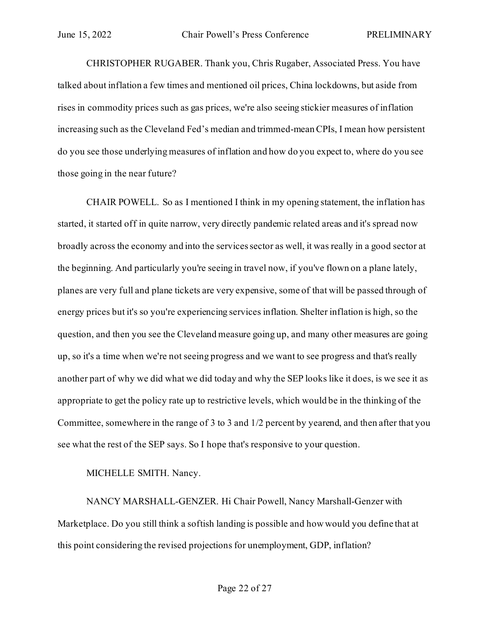CHRISTOPHER RUGABER. Thank you, Chris Rugaber, Associated Press. You have talked about inflation a few times and mentioned oil prices, China lockdowns, but aside from rises in commodity prices such as gas prices, we're also seeing stickier measures of inflation increasing such as the Cleveland Fed's median and trimmed-mean CPIs, I mean how persistent do you see those underlying measures of inflation and how do you expect to, where do you see those going in the near future?

CHAIR POWELL. So as I mentioned I think in my opening statement, the inflation has started, it started off in quite narrow, very directly pandemic related areas and it's spread now broadly across the economy and into the services sector as well, it was really in a good sector at the beginning. And particularly you're seeing in travel now, if you've flown on a plane lately, planes are very full and plane tickets are very expensive, some of that will be passed through of energy prices but it's so you're experiencing services inflation. Shelter inflation is high, so the question, and then you see the Cleveland measure going up, and many other measures are going up, so it's a time when we're not seeing progress and we want to see progress and that's really another part of why we did what we did today and why the SEP looks like it does, is we see it as appropriate to get the policy rate up to restrictive levels, which would be in the thinking of the Committee, somewhere in the range of 3 to 3 and 1/2 percent by yearend, and then after that you see what the rest of the SEP says. So I hope that's responsive to your question.

#### MICHELLE SMITH. Nancy.

NANCY MARSHALL-GENZER. Hi Chair Powell, Nancy Marshall-Genzer with Marketplace. Do you still think a softish landing is possible and how would you define that at this point considering the revised projections for unemployment, GDP, inflation?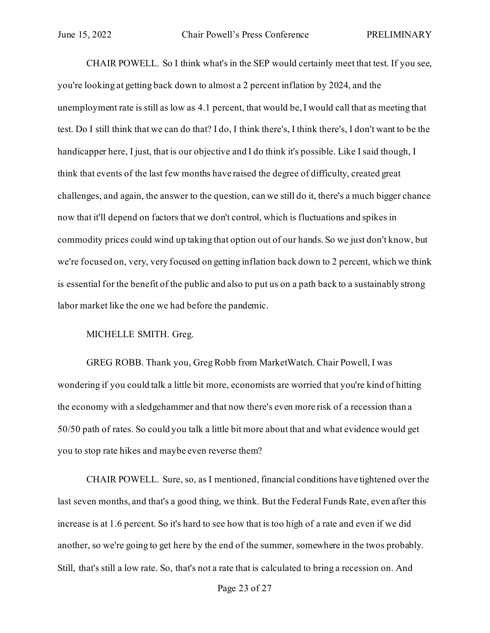CHAIR POWELL. So I think what's in the SEP would certainly meet that test. If you see, you're looking at getting back down to almost a 2 percent inflation by 2024, and the unemployment rate is still as low as 4.1 percent, that would be, I would call that as meeting that test. Do I still think that we can do that? I do, I think there's, I think there's, I don't want to be the handicapper here, I just, that is our objective and I do think it's possible. Like I said though, I think that events of the last few months have raised the degree of difficulty, created great challenges, and again, the answer to the question, can we still do it, there's a much bigger chance now that it'll depend on factors that we don't control, which is fluctuations and spikes in commodity prices could wind up taking that option out of our hands. So we just don't know, but we're focused on, very, very focused on getting inflation back down to 2 percent, which we think is essential for the benefit of the public and also to put us on a path back to a sustainably strong labor market like the one we had before the pandemic.

# MICHELLE SMITH. Greg.

GREG ROBB. Thank you, Greg Robb from MarketWatch. Chair Powell, I was wondering if you could talk a little bit more, economists are worried that you're kind of hitting the economy with a sledgehammer and that now there's even more risk of a recession than a 50/50 path of rates. So could you talk a little bit more about that and what evidence would get you to stop rate hikes and maybe even reverse them?

CHAIR POWELL. Sure, so, as I mentioned, financial conditions have tightened over the last seven months, and that's a good thing, we think. But the Federal Funds Rate, even after this increase is at 1.6 percent. So it's hard to see how that is too high of a rate and even if we did another, so we're going to get here by the end of the summer, somewhere in the twos probably. Still, that's still a low rate. So, that's not a rate that is calculated to bring a recession on. And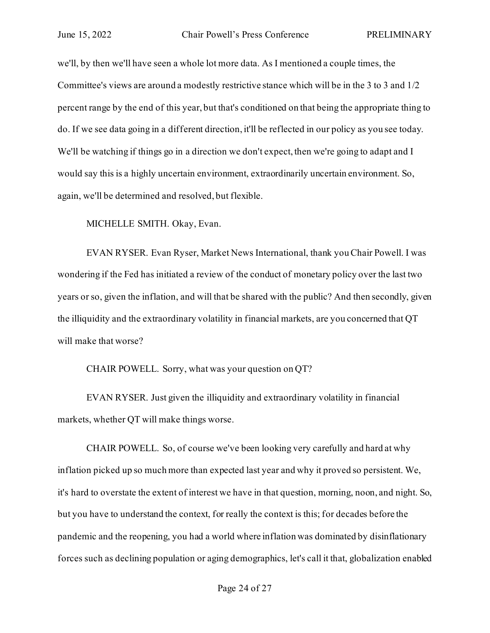we'll, by then we'll have seen a whole lot more data. As I mentioned a couple times, the Committee's views are around a modestly restrictive stance which will be in the 3 to 3 and 1/2 percent range by the end of this year, but that's conditioned on that being the appropriate thing to do. If we see data going in a different direction, it'll be reflected in our policy as you see today. We'll be watching if things go in a direction we don't expect, then we're going to adapt and I would say this is a highly uncertain environment, extraordinarily uncertain environment. So, again, we'll be determined and resolved, but flexible.

MICHELLE SMITH. Okay, Evan.

EVAN RYSER. Evan Ryser, Market News International, thank you Chair Powell. I was wondering if the Fed has initiated a review of the conduct of monetary policy over the last two years or so, given the inflation, and will that be shared with the public? And then secondly, given the illiquidity and the extraordinary volatility in financial markets, are you concerned that QT will make that worse?

CHAIR POWELL. Sorry, what was your question on QT?

EVAN RYSER. Just given the illiquidity and extraordinary volatility in financial markets, whether QT will make things worse.

CHAIR POWELL. So, of course we've been looking very carefully and hard at why inflation picked up so much more than expected last year and why it proved so persistent. We, it's hard to overstate the extent of interest we have in that question, morning, noon, and night. So, but you have to understand the context, for really the context is this; for decades before the pandemic and the reopening, you had a world where inflation was dominated by disinflationary forces such as declining population or aging demographics, let's call it that, globalization enabled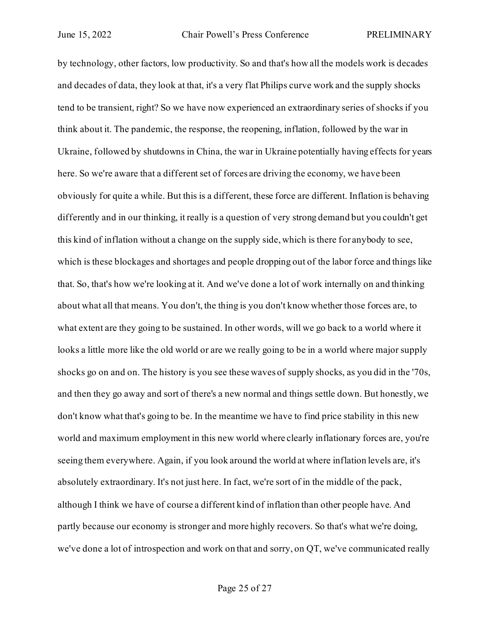by technology, other factors, low productivity. So and that's how all the models work is decades and decades of data, they look at that, it's a very flat Philips curve work and the supply shocks tend to be transient, right? So we have now experienced an extraordinary series of shocks if you think about it. The pandemic, the response, the reopening, inflation, followed by the war in Ukraine, followed by shutdowns in China, the war in Ukraine potentially having effects for years here. So we're aware that a different set of forces are driving the economy, we have been obviously for quite a while. But this is a different, these force are different. Inflation is behaving differently and in our thinking, it really is a question of very strong demand but you couldn't get this kind of inflation without a change on the supply side, which is there for anybody to see, which is these blockages and shortages and people dropping out of the labor force and things like that. So, that's how we're looking at it. And we've done a lot of work internally on and thinking about what all that means. You don't, the thing is you don't know whether those forces are, to what extent are they going to be sustained. In other words, will we go back to a world where it looks a little more like the old world or are we really going to be in a world where major supply shocks go on and on. The history is you see these waves of supply shocks, as you did in the '70s, and then they go away and sort of there's a new normal and things settle down. But honestly, we don't know what that's going to be. In the meantime we have to find price stability in this new world and maximum employment in this new world where clearly inflationary forces are, you're seeing them everywhere. Again, if you look around the world at where inflation levels are, it's absolutely extraordinary. It's not just here. In fact, we're sort of in the middle of the pack, although I think we have of course a different kind of inflation than other people have. And partly because our economy is stronger and more highly recovers. So that's what we're doing, we've done a lot of introspection and work on that and sorry, on QT, we've communicated really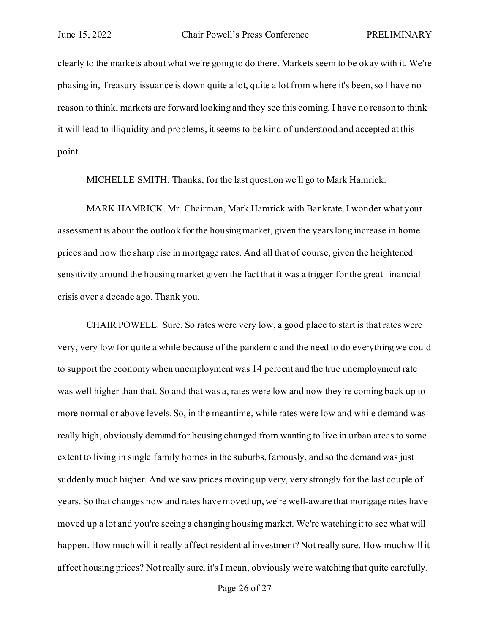clearly to the markets about what we're going to do there. Markets seem to be okay with it. We're phasing in, Treasury issuance is down quite a lot, quite a lot from where it's been, so I have no reason to think, markets are forward looking and they see this coming. I have no reason to think it will lead to illiquidity and problems, it seems to be kind of understood and accepted at this point.

MICHELLE SMITH. Thanks, for the last question we'll go to Mark Hamrick.

MARK HAMRICK. Mr. Chairman, Mark Hamrick with Bankrate. I wonder what your assessment is about the outlook for the housing market, given the years long increase in home prices and now the sharp rise in mortgage rates. And all that of course, given the heightened sensitivity around the housing market given the fact that it was a trigger for the great financial crisis over a decade ago. Thank you.

CHAIR POWELL. Sure. So rates were very low, a good place to start is that rates were very, very low for quite a while because of the pandemic and the need to do everything we could to support the economy when unemployment was 14 percent and the true unemployment rate was well higher than that. So and that was a, rates were low and now they're coming back up to more normal or above levels. So, in the meantime, while rates were low and while demand was really high, obviously demand for housing changed from wanting to live in urban areas to some extent to living in single family homes in the suburbs, famously, and so the demand was just suddenly much higher. And we saw prices moving up very, very strongly for the last couple of years. So that changes now and rates have moved up, we're well-aware that mortgage rates have moved up a lot and you're seeing a changing housing market. We're watching it to see what will happen. How much will it really affect residential investment? Not really sure. How much will it affect housing prices? Not really sure, it's I mean, obviously we're watching that quite carefully.